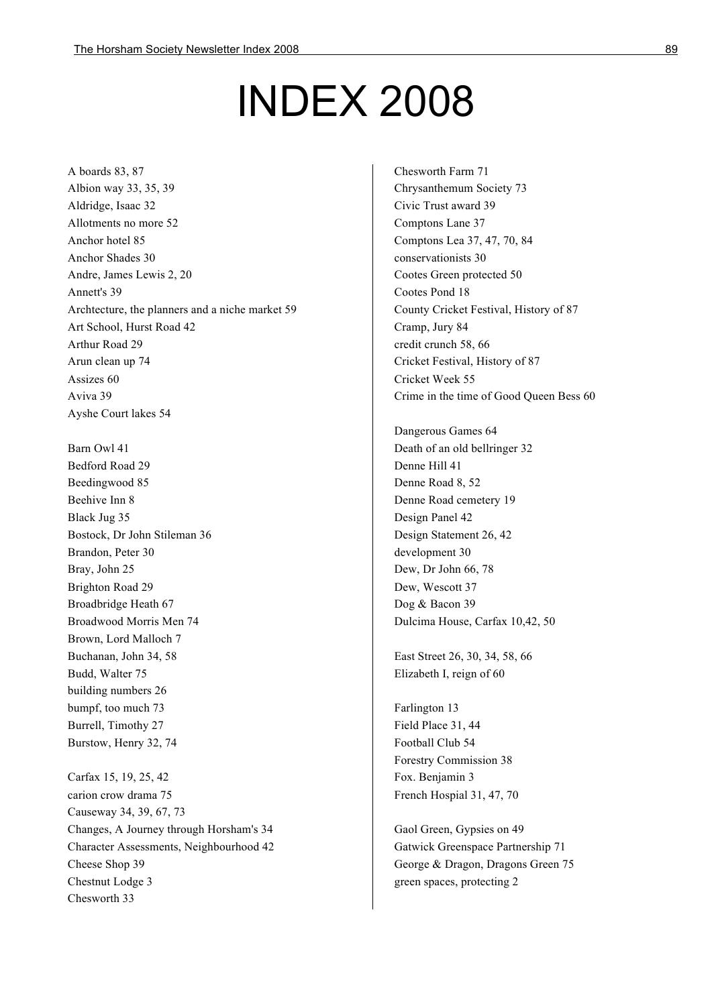## INDEX 2008

A boards 83, 87 Albion way 33, 35, 39 Aldridge, Isaac 32 Allotments no more 52 Anchor hotel 85 Anchor Shades 30 Andre, James Lewis 2, 20 Annett's 39 Archtecture, the planners and a niche market 59 Art School, Hurst Road 42 Arthur Road 29 Arun clean up 74 Assizes 60 Aviva 39 Ayshe Court lakes 54

Barn Owl 41 Bedford Road 29 Beedingwood 85 Beehive Inn 8 Black Jug 35 Bostock, Dr John Stileman 36 Brandon, Peter 30 Bray, John 25 Brighton Road 29 Broadbridge Heath 67 Broadwood Morris Men 74 Brown, Lord Malloch 7 Buchanan, John 34, 58 Budd, Walter 75 building numbers 26 bumpf, too much 73 Burrell, Timothy 27 Burstow, Henry 32, 74

Carfax 15, 19, 25, 42 carion crow drama 75 Causeway 34, 39, 67, 73 Changes, A Journey through Horsham's 34 Character Assessments, Neighbourhood 42 Cheese Shop 39 Chestnut Lodge 3 Chesworth 33

Chesworth Farm 71 Chrysanthemum Society 73 Civic Trust award 39 Comptons Lane 37 Comptons Lea 37, 47, 70, 84 conservationists 30 Cootes Green protected 50 Cootes Pond 18 County Cricket Festival, History of 87 Cramp, Jury 84 credit crunch 58, 66 Cricket Festival, History of 87 Cricket Week 55 Crime in the time of Good Queen Bess 60

Dangerous Games 64 Death of an old bellringer 32 Denne Hill 41 Denne Road 8, 52 Denne Road cemetery 19 Design Panel 42 Design Statement 26, 42 development 30 Dew, Dr John 66, 78 Dew, Wescott 37 Dog & Bacon 39 Dulcima House, Carfax 10,42, 50

East Street 26, 30, 34, 58, 66 Elizabeth I, reign of 60

Farlington 13 Field Place 31, 44 Football Club 54 Forestry Commission 38 Fox. Benjamin 3 French Hospial 31, 47, 70

Gaol Green, Gypsies on 49 Gatwick Greenspace Partnership 71 George & Dragon, Dragons Green 75 green spaces, protecting 2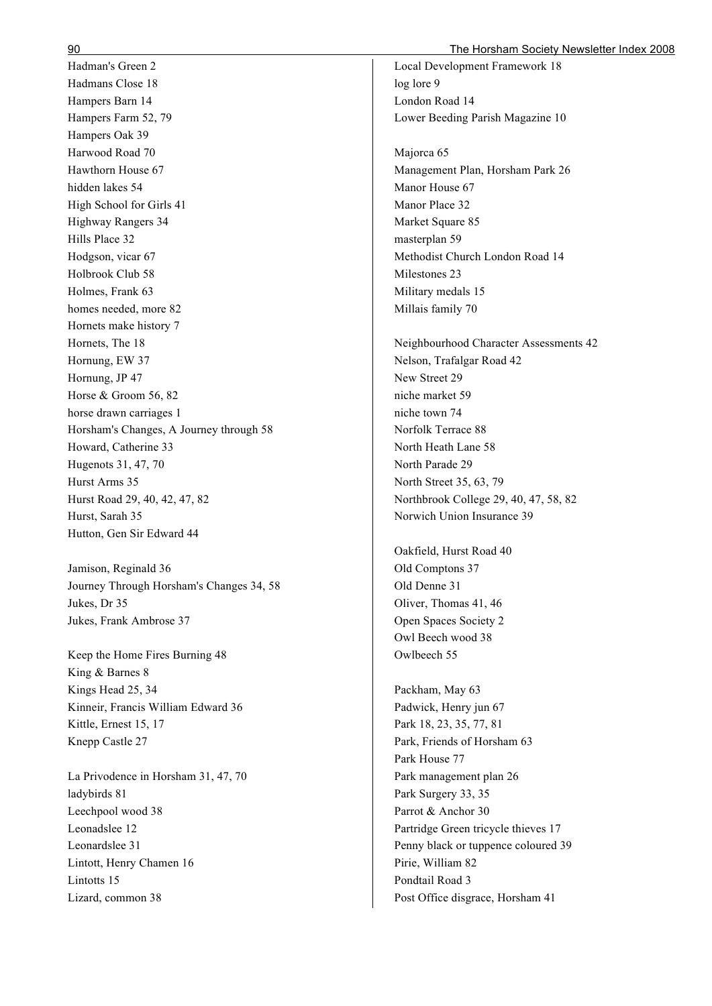Hadman's Green 2 Hadmans Close 18 Hampers Barn 14 Hampers Farm 52, 79 Hampers Oak 39 Harwood Road 70 Hawthorn House 67 hidden lakes 54 High School for Girls 41 Highway Rangers 34 Hills Place 32 Hodgson, vicar 67 Holbrook Club 58 Holmes, Frank 63 homes needed, more 82 Hornets make history 7 Hornets, The 18 Hornung, EW 37 Hornung, JP 47 Horse & Groom 56, 82 horse drawn carriages 1 Horsham's Changes, A Journey through 58 Howard, Catherine 33 Hugenots 31, 47, 70 Hurst Arms 35 Hurst Road 29, 40, 42, 47, 82 Hurst, Sarah 35 Hutton, Gen Sir Edward 44

Jamison, Reginald 36 Journey Through Horsham's Changes 34, 58 Jukes, Dr 35 Jukes, Frank Ambrose 37

Keep the Home Fires Burning 48 King & Barnes 8 Kings Head 25, 34 Kinneir, Francis William Edward 36 Kittle, Ernest 15, 17 Knepp Castle 27

La Privodence in Horsham 31, 47, 70 ladybirds 81 Leechpool wood 38 Leonadslee 12 Leonardslee 31 Lintott, Henry Chamen 16 Lintotts 15 Lizard, common 38

Local Development Framework 18 log lore 9 London Road 14 Lower Beeding Parish Magazine 10

Majorca 65 Management Plan, Horsham Park 26 Manor House 67 Manor Place 32 Market Square 85 masterplan 59 Methodist Church London Road 14 Milestones 23 Military medals 15 Millais family 70

Neighbourhood Character Assessments 42 Nelson, Trafalgar Road 42 New Street 29 niche market 59 niche town 74 Norfolk Terrace 88 North Heath Lane 58 North Parade 29 North Street 35, 63, 79 Northbrook College 29, 40, 47, 58, 82 Norwich Union Insurance 39

Oakfield, Hurst Road 40 Old Comptons 37 Old Denne 31 Oliver, Thomas 41, 46 Open Spaces Society 2 Owl Beech wood 38 Owlbeech 55

Packham, May 63 Padwick, Henry jun 67 Park 18, 23, 35, 77, 81 Park, Friends of Horsham 63 Park House 77 Park management plan 26 Park Surgery 33, 35 Parrot & Anchor 30 Partridge Green tricycle thieves 17 Penny black or tuppence coloured 39 Pirie, William 82 Pondtail Road 3 Post Office disgrace, Horsham 41